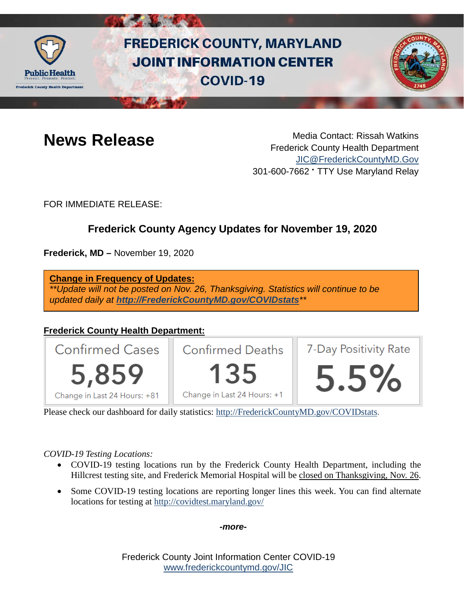

# **FREDERICK COUNTY, MARYLAND JOINT INFORMATION CENTER COVID-19**



**News Release** Media Contact: Rissah Watkins Frederick County Health Department [JIC@FrederickCountyMD.Gov](mailto:JIC@FrederickCountyMD.Gov) 301-600-7662 • TTY Use Maryland Relay

FOR IMMEDIATE RELEASE:

# **Frederick County Agency Updates for November 19, 2020**

**Frederick, MD –** November 19, 2020

**Change in Frequency of Updates:** *\*\*Update will not be posted on Nov. 26, Thanksgiving. Statistics will continue to be updated daily at [http://FrederickCountyMD.gov/COVIDstats](http://frederickcountymd.gov/COVIDstats)\*\**

# **Frederick County Health Department:**



Please check our dashboard for daily statistics: [http://FrederickCountyMD.gov/COVIDstats.](http://frederickcountymd.gov/COVIDstats)

*COVID-19 Testing Locations:*

- COVID-19 testing locations run by the Frederick County Health Department, including the Hillcrest testing site, and Frederick Memorial Hospital will be closed on Thanksgiving, Nov. 26.
- Some COVID-19 testing locations are reporting longer lines this week. You can find alternate locations for testing at<http://covidtest.maryland.gov/>

*-more-*

Frederick County Joint Information Center COVID-19 [www.frederickcountymd.gov/JIC](https://frederickcountymd.gov/JIC)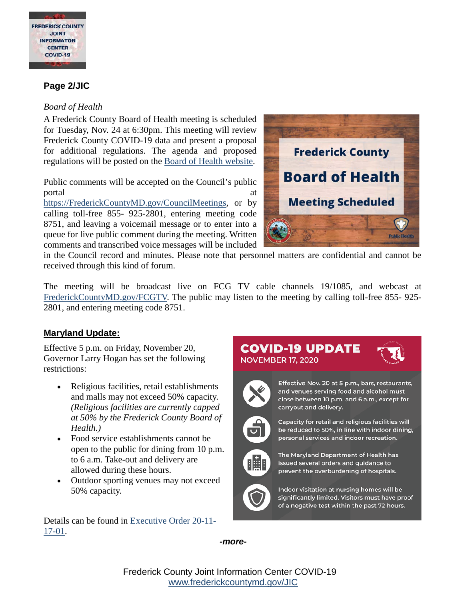

## **Page 2/JIC**

#### *Board of Health*

A Frederick County Board of Health meeting is scheduled for Tuesday, Nov. 24 at 6:30pm. This meeting will review Frederick County COVID-19 data and present a proposal for additional regulations. The agenda and proposed regulations will be posted on the [Board of Health website.](https://health.frederickcountymd.gov/627/Board-of-Health)

Public comments will be accepted on the Council's public portal at a set of the set of the set of the set of the set of the set of the set of the set of the set of the

[https://FrederickCountyMD.gov/CouncilMeetings,](https://frederickcountymd.gov/CouncilMeetings) or by calling toll-free 855- 925-2801, entering meeting code 8751, and leaving a voicemail message or to enter into a queue for live public comment during the meeting. Written comments and transcribed voice messages will be included



in the Council record and minutes. Please note that personnel matters are confidential and cannot be received through this kind of forum.

The meeting will be broadcast live on FCG TV cable channels 19/1085, and webcast at [FrederickCountyMD.gov/FCGTV.](https://www.frederickcountymd.gov/1225/FCG-TV) The public may listen to the meeting by calling toll-free 855- 925- 2801, and entering meeting code 8751.

### **Maryland Update:**

Effective 5 p.m. on Friday, November 20, Governor Larry Hogan has set the following restrictions:

- Religious facilities, retail establishments and malls may not exceed 50% capacity. *(Religious facilities are currently capped at 50% by the Frederick County Board of Health.)*
- Food service establishments cannot be open to the public for dining from 10 p.m. to 6 a.m. Take-out and delivery are allowed during these hours.
- Outdoor sporting venues may not exceed 50% capacity.

Details can be found in [Executive Order 20-11-](https://governor.maryland.gov/wp-content/uploads/2020/11/Order-20-11-17-01.pdf) [17-01.](https://governor.maryland.gov/wp-content/uploads/2020/11/Order-20-11-17-01.pdf)

# COVID-19 UPDATE **NOVEMBER 17, 2020**



Effective Nov. 20 at 5 p.m., bars, restaurants, and venues serving food and alcohol must close between 10 p.m. and 6 a.m., except for carryout and delivery.



Capacity for retail and religious facilities will be reduced to 50%, in line with indoor dining, personal services and indoor recreation.



The Maryland Department of Health has issued several orders and guidance to prevent the overburdening of hospitals.



Indoor visitation at nursing homes will be significantly limited. Visitors must have proof of a negative test within the past 72 hours.

*-more-*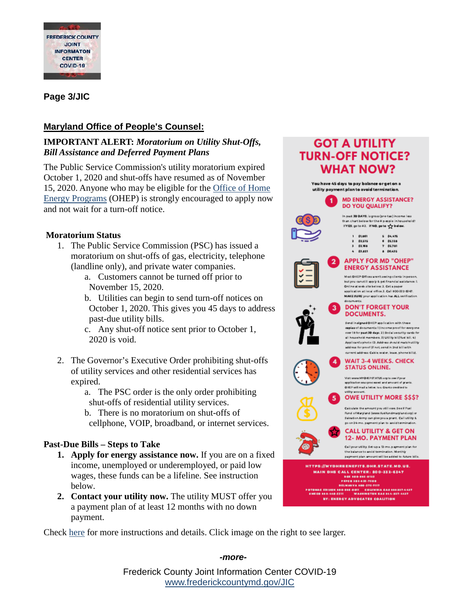

# **Page 3/JIC**

# **Maryland Office of People's Counsel:**

### **IMPORTANT ALERT:** *Moratorium on Utility Shut-Offs, Bill Assistance and Deferred Payment Plans*

The Public Service Commission's utility moratorium expired October 1, 2020 and shut-offs have resumed as of November 15, 2020. Anyone who may be eligible for the [Office of Home](https://urldefense.com/v3/__https:/dhs.maryland.gov/office-of-home-energy-programs/__;!!I2-OFBIJoQBJqqeup9g!RYgE6sh87LJF2qgVgNPfg9YzSE8rUXtL__4AKko9jjpBUdWYm-6VTndCKTICbVSRk-aAF9rhmps$)  [Energy Programs](https://urldefense.com/v3/__https:/dhs.maryland.gov/office-of-home-energy-programs/__;!!I2-OFBIJoQBJqqeup9g!RYgE6sh87LJF2qgVgNPfg9YzSE8rUXtL__4AKko9jjpBUdWYm-6VTndCKTICbVSRk-aAF9rhmps$) (OHEP) is strongly encouraged to apply now and not wait for a turn-off notice.

### **Moratorium Status**

- 1. The Public Service Commission (PSC) has issued a moratorium on shut-offs of gas, electricity, telephone (landline only), and private water companies.
	- a. Customers cannot be turned off prior to November 15, 2020.
	- b. Utilities can begin to send turn-off notices on October 1, 2020. This gives you 45 days to address past-due utility bills.
	- c. Any shut-off notice sent prior to October 1, 2020 is void.
- 2. The Governor's Executive Order prohibiting shut-offs of utility services and other residential services has expired.
	- a. The PSC order is the only order prohibiting shut-offs of residential utility services.
	- b. There is no moratorium on shut-offs of cellphone, VOIP, broadband, or internet services.

### **Past-Due Bills – Steps to Take**

- **1. Apply for energy assistance now.** If you are on a fixed income, unemployed or underemployed, or paid low wages, these funds can be a lifeline. See instruction below.
- **2. Contact your utility now.** The utility MUST offer you a payment plan of at least 12 months with no down payment.

Check [here](https://health.frederickcountymd.gov/DocumentCenter/View/6435/ALERT--PSC-Moratorium-and-Payment-Rules-922020) for more instructions and details. Click image on the right to see larger.

#### **GOT A UTILITY TURN-OFF NOTICE? WHAT NOW?** You have 45 days to pay balance or get on a utility payment plan to avoid termination. **MD ENERGY ASSISTANCE?** -1. **DO YOU QUALIFY?** In past 30 DAYS, is gross (pre-tax) income less than chart below for the # people inhousehold? If YES, go to #2. If NO, go to  $\frac{1}{2}$  below.  $1 - 51.861$  $5 - $4,475$ 2 \$2,515  $6.55,128$  $3.8388$  $7 - 65.781$  $4.53.821$ 8 \$6,435 APPLY FOR MD "OHEP" **ENERGY ASSISTANCE** Most OHEP Offices aren't seeing clients in per but you can still apply & get financial assistance: 1. Online at web site below. 2. Cet a paper application at local office 3. Call 800-332-6347. MAKE SURE your application has ALL verification **3** DON'T FORGET YOUR **DOCUMENTS.** Send insigned OHEP application with these capies of documents 1) income proof for every one<br>over 18 for past 30 days. 2) Social security cards fo all household members. 3) Utility bill/fuel bill. 4)<br>Applicant's photo ID. Address should match utility address for proof (if not send in 2nd bill with current address: Cable, water, lease, phone bills). **WAIT 3-4 WEEKS, CHECK** 4 **STATUS ONLINE.** Visit www.MYQHEPSTATUS.org to see if your application was processed and amount of grants OHEP will mail a letter, to a Crantz credited to **OWE UTILITY MORE \$\$\$?** 63 Calculate the amount you still owe See if Fuel Rund of Maryland (www.fuelfundmaryland.org) or Salvation Army can give you a grant. Call utility & go on 24 mo. payment plan to avoid termination. **CALL UTILITY & GET ON** 12- MO. PAYMENT PLAN Call your utility. Set-up a 12-mo.payment plan for the balance to avoid termination. Monthly<br>payment plan amount will be added to future bills. HTTPS://MYDHRBENEFITS.DHR.STATE.MD.US. **MAIN DHS CALL CENTER: 800-332-6347** 06600-005-0123<br>PEPCO 202-033-7500 DELMARYA 100-575-7117<br>19 - DELMARYA 100-575-7117<br>19 - BEMECO 188-440-5311 - WASHINGTON GAS 144-327-4427 BY: ENERGY ADVOCATES COALITION

Frederick County Joint Information Center COVID-19 [www.frederickcountymd.gov/JIC](https://frederickcountymd.gov/JIC)

#### *-more-*